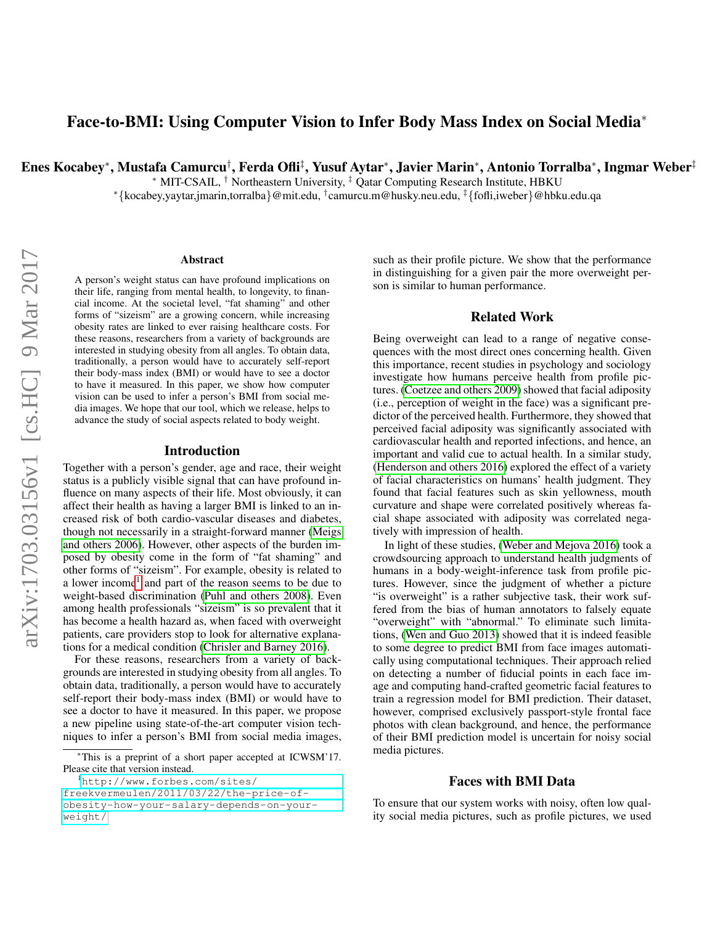# Face-to-BMI: Using Computer Vision to Infer Body Mass Index on Social Media<sup>∗</sup>

Enes Kocabey\*, Mustafa Camurcu<sup>†</sup>, Ferda Ofli<sup>‡</sup>, Yusuf Aytar\*, Javier Marin\*, Antonio Torralba\*, Ingmar Weber<sup>‡</sup>

<sup>∗</sup> MIT-CSAIL, † Northeastern University, ‡ Qatar Computing Research Institute, HBKU

<sup>∗</sup>{kocabey,yaytar,jmarin,torralba}@mit.edu, † camurcu.m@husky.neu.edu, ‡{fofli,iweber}@hbku.edu.qa

#### Abstract

A person's weight status can have profound implications on their life, ranging from mental health, to longevity, to financial income. At the societal level, "fat shaming" and other forms of "sizeism" are a growing concern, while increasing obesity rates are linked to ever raising healthcare costs. For these reasons, researchers from a variety of backgrounds are interested in studying obesity from all angles. To obtain data, traditionally, a person would have to accurately self-report their body-mass index (BMI) or would have to see a doctor to have it measured. In this paper, we show how computer vision can be used to infer a person's BMI from social media images. We hope that our tool, which we release, helps to advance the study of social aspects related to body weight.

## Introduction

Together with a person's gender, age and race, their weight status is a publicly visible signal that can have profound influence on many aspects of their life. Most obviously, it can affect their health as having a larger BMI is linked to an increased risk of both cardio-vascular diseases and diabetes, though not necessarily in a straight-forward manner [\(Meigs](#page-3-0) [and others 2006\)](#page-3-0). However, other aspects of the burden imposed by obesity come in the form of "fat shaming" and other forms of "sizeism". For example, obesity is related to a lower income<sup>[1](#page-0-0)</sup> and part of the reason seems to be due to weight-based discrimination [\(Puhl and others 2008\)](#page-3-1). Even among health professionals "sizeism" is so prevalent that it has become a health hazard as, when faced with overweight patients, care providers stop to look for alternative explanations for a medical condition [\(Chrisler and Barney 2016\)](#page-3-2).

For these reasons, researchers from a variety of backgrounds are interested in studying obesity from all angles. To obtain data, traditionally, a person would have to accurately self-report their body-mass index (BMI) or would have to see a doctor to have it measured. In this paper, we propose a new pipeline using state-of-the-art computer vision techniques to infer a person's BMI from social media images, such as their profile picture. We show that the performance in distinguishing for a given pair the more overweight person is similar to human performance.

# Related Work

Being overweight can lead to a range of negative consequences with the most direct ones concerning health. Given this importance, recent studies in psychology and sociology investigate how humans perceive health from profile pictures. [\(Coetzee and others 2009\)](#page-3-3) showed that facial adiposity (i.e., perception of weight in the face) was a significant predictor of the perceived health. Furthermore, they showed that perceived facial adiposity was significantly associated with cardiovascular health and reported infections, and hence, an important and valid cue to actual health. In a similar study, [\(Henderson and others 2016\)](#page-3-4) explored the effect of a variety of facial characteristics on humans' health judgment. They found that facial features such as skin yellowness, mouth curvature and shape were correlated positively whereas facial shape associated with adiposity was correlated negatively with impression of health.

In light of these studies, [\(Weber and Mejova 2016\)](#page-3-5) took a crowdsourcing approach to understand health judgments of humans in a body-weight-inference task from profile pictures. However, since the judgment of whether a picture "is overweight" is a rather subjective task, their work suffered from the bias of human annotators to falsely equate "overweight" with "abnormal." To eliminate such limitations, [\(Wen and Guo 2013\)](#page-3-6) showed that it is indeed feasible to some degree to predict BMI from face images automatically using computational techniques. Their approach relied on detecting a number of fiducial points in each face image and computing hand-crafted geometric facial features to train a regression model for BMI prediction. Their dataset, however, comprised exclusively passport-style frontal face photos with clean background, and hence, the performance of their BMI prediction model is uncertain for noisy social media pictures.

#### Faces with BMI Data

To ensure that our system works with noisy, often low quality social media pictures, such as profile pictures, we used

<sup>∗</sup>This is a preprint of a short paper accepted at ICWSM'17. Please cite that version instead.

<span id="page-0-0"></span><sup>&</sup>lt;sup>1</sup>[http://www.forbes.com/sites/](http://www.forbes.com/sites/freekvermeulen/2011/03/22/the-price-of-obesity-how-your-salary-depends-on-your-weight/) [freekvermeulen/2011/03/22/the-price-of](http://www.forbes.com/sites/freekvermeulen/2011/03/22/the-price-of-obesity-how-your-salary-depends-on-your-weight/)[obesity-how-your-salary-depends-on-your](http://www.forbes.com/sites/freekvermeulen/2011/03/22/the-price-of-obesity-how-your-salary-depends-on-your-weight/)[weight/](http://www.forbes.com/sites/freekvermeulen/2011/03/22/the-price-of-obesity-how-your-salary-depends-on-your-weight/)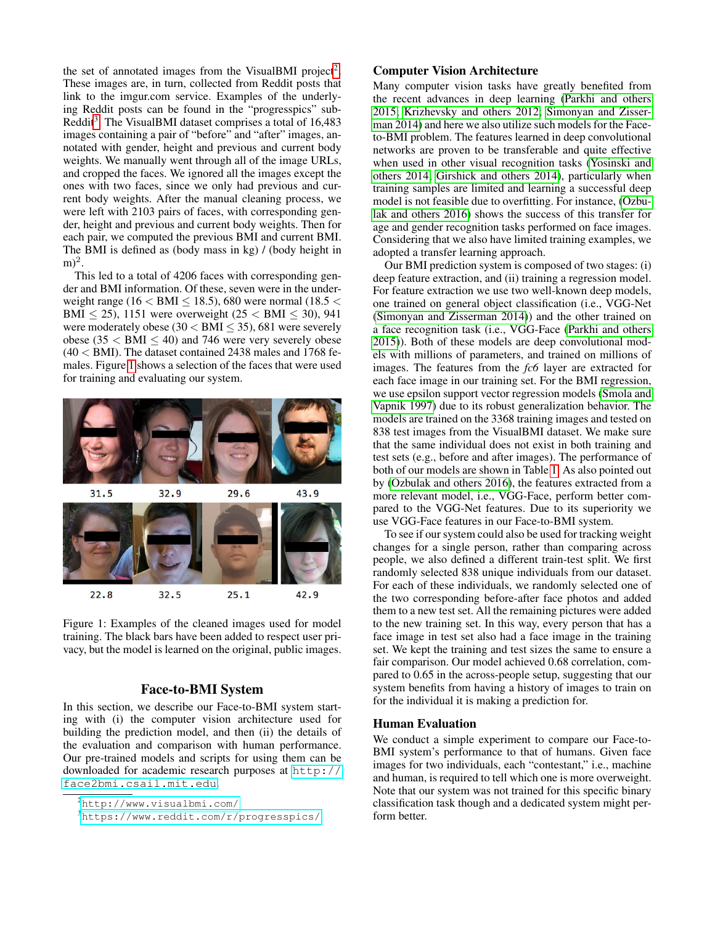the set of annotated images from the VisualBMI project<sup>[2](#page-1-0)</sup>. These images are, in turn, collected from Reddit posts that link to the imgur.com service. Examples of the underlying Reddit posts can be found in the "progresspics" sub-Reddit<sup>[3](#page-1-1)</sup>. The VisualBMI dataset comprises a total of 16,483 images containing a pair of "before" and "after" images, annotated with gender, height and previous and current body weights. We manually went through all of the image URLs, and cropped the faces. We ignored all the images except the ones with two faces, since we only had previous and current body weights. After the manual cleaning process, we were left with 2103 pairs of faces, with corresponding gender, height and previous and current body weights. Then for each pair, we computed the previous BMI and current BMI. The BMI is defined as (body mass in kg) / (body height in  $\mathrm{m})^2$ .

This led to a total of 4206 faces with corresponding gender and BMI information. Of these, seven were in the underweight range (16  $<$  BMI  $\leq$  18.5), 680 were normal (18.5  $<$ BMI < 25), 1151 were overweight ( $25 <$  BMI < 30), 941 were moderately obese ( $30 < BMI \leq 35$ ), 681 were severely obese (35  $<$  BMI  $\leq$  40) and 746 were very severely obese  $(40 <$  BMI). The dataset contained 2438 males and 1768 females. Figure [1](#page-1-2) shows a selection of the faces that were used for training and evaluating our system.



<span id="page-1-2"></span>Figure 1: Examples of the cleaned images used for model training. The black bars have been added to respect user privacy, but the model is learned on the original, public images.

# Face-to-BMI System

In this section, we describe our Face-to-BMI system starting with (i) the computer vision architecture used for building the prediction model, and then (ii) the details of the evaluation and comparison with human performance. Our pre-trained models and scripts for using them can be downloaded for academic research purposes at [http://](http://face2bmi.csail.mit.edu) [face2bmi.csail.mit.edu](http://face2bmi.csail.mit.edu).

# Computer Vision Architecture

Many computer vision tasks have greatly benefited from the recent advances in deep learning [\(Parkhi and others](#page-3-7) [2015;](#page-3-7) [Krizhevsky and others 2012;](#page-3-8) [Simonyan and Zisser](#page-3-9)[man 2014\)](#page-3-9) and here we also utilize such models for the Faceto-BMI problem. The features learned in deep convolutional networks are proven to be transferable and quite effective when used in other visual recognition tasks [\(Yosinski and](#page-3-10) [others 2014;](#page-3-10) [Girshick and others 2014\)](#page-3-11), particularly when training samples are limited and learning a successful deep model is not feasible due to overfitting. For instance, [\(Ozbu](#page-3-12)[lak and others 2016\)](#page-3-12) shows the success of this transfer for age and gender recognition tasks performed on face images. Considering that we also have limited training examples, we adopted a transfer learning approach.

Our BMI prediction system is composed of two stages: (i) deep feature extraction, and (ii) training a regression model. For feature extraction we use two well-known deep models, one trained on general object classification (i.e., VGG-Net [\(Simonyan and Zisserman 2014\)](#page-3-9)) and the other trained on a face recognition task (i.e., VGG-Face [\(Parkhi and others](#page-3-7) [2015\)](#page-3-7)). Both of these models are deep convolutional models with millions of parameters, and trained on millions of images. The features from the *fc6* layer are extracted for each face image in our training set. For the BMI regression, we use epsilon support vector regression models [\(Smola and](#page-3-13) [Vapnik 1997\)](#page-3-13) due to its robust generalization behavior. The models are trained on the 3368 training images and tested on 838 test images from the VisualBMI dataset. We make sure that the same individual does not exist in both training and test sets (e.g., before and after images). The performance of both of our models are shown in Table [1.](#page-2-0) As also pointed out by [\(Ozbulak and others 2016\)](#page-3-12), the features extracted from a more relevant model, i.e., VGG-Face, perform better compared to the VGG-Net features. Due to its superiority we use VGG-Face features in our Face-to-BMI system.

To see if our system could also be used for tracking weight changes for a single person, rather than comparing across people, we also defined a different train-test split. We first randomly selected 838 unique individuals from our dataset. For each of these individuals, we randomly selected one of the two corresponding before-after face photos and added them to a new test set. All the remaining pictures were added to the new training set. In this way, every person that has a face image in test set also had a face image in the training set. We kept the training and test sizes the same to ensure a fair comparison. Our model achieved 0.68 correlation, compared to 0.65 in the across-people setup, suggesting that our system benefits from having a history of images to train on for the individual it is making a prediction for.

#### Human Evaluation

We conduct a simple experiment to compare our Face-to-BMI system's performance to that of humans. Given face images for two individuals, each "contestant," i.e., machine and human, is required to tell which one is more overweight. Note that our system was not trained for this specific binary classification task though and a dedicated system might perform better.

<span id="page-1-0"></span><sup>2</sup><http://www.visualbmi.com/>

<span id="page-1-1"></span><sup>3</sup><https://www.reddit.com/r/progresspics/>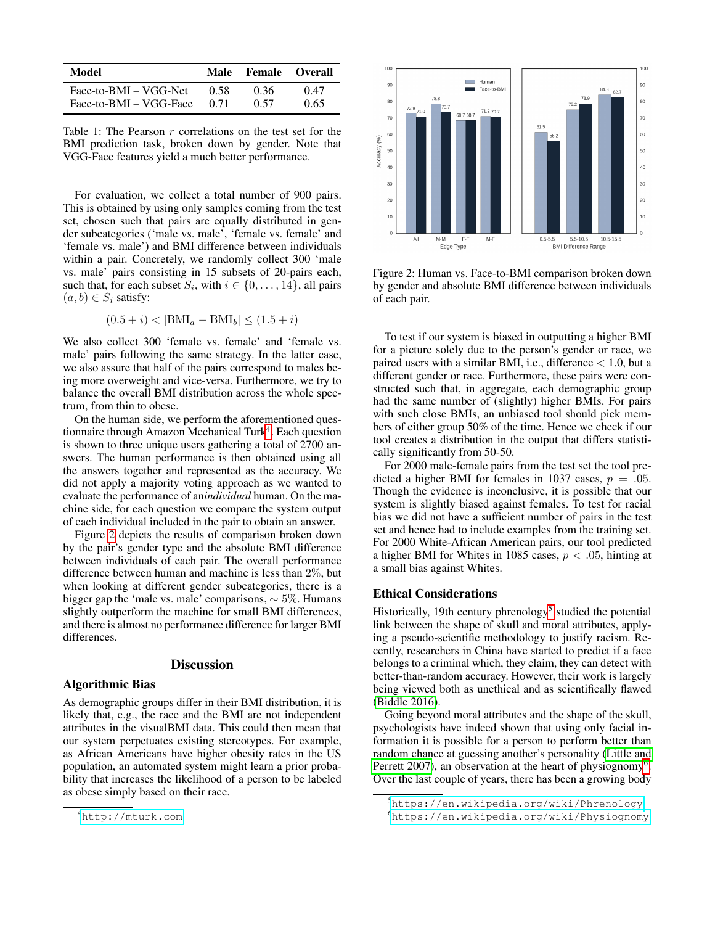| Model                  | Male  | <b>Female Overall</b> |      |
|------------------------|-------|-----------------------|------|
| Face-to-BMI – VGG-Net  | 0.58  | 0.36                  | 0.47 |
| Face-to-BMI – VGG-Face | (171) | 0.57                  | 0.65 |

<span id="page-2-0"></span>Table 1: The Pearson  $r$  correlations on the test set for the BMI prediction task, broken down by gender. Note that VGG-Face features yield a much better performance.

For evaluation, we collect a total number of 900 pairs. This is obtained by using only samples coming from the test set, chosen such that pairs are equally distributed in gender subcategories ('male vs. male', 'female vs. female' and 'female vs. male') and BMI difference between individuals within a pair. Concretely, we randomly collect 300 'male vs. male' pairs consisting in 15 subsets of 20-pairs each, such that, for each subset  $S_i$ , with  $i \in \{0, \ldots, 14\}$ , all pairs  $(a, b) \in S_i$  satisfy:

$$
(0.5 + i) < |\text{BMI}_a - \text{BMI}_b| \le (1.5 + i)
$$

We also collect 300 'female vs. female' and 'female vs. male' pairs following the same strategy. In the latter case, we also assure that half of the pairs correspond to males being more overweight and vice-versa. Furthermore, we try to balance the overall BMI distribution across the whole spectrum, from thin to obese.

On the human side, we perform the aforementioned ques-tionnaire through Amazon Mechanical Turk<sup>[4](#page-2-1)</sup>. Each question is shown to three unique users gathering a total of 2700 answers. The human performance is then obtained using all the answers together and represented as the accuracy. We did not apply a majority voting approach as we wanted to evaluate the performance of an*individual* human. On the machine side, for each question we compare the system output of each individual included in the pair to obtain an answer.

Figure [2](#page-2-2) depicts the results of comparison broken down by the pair's gender type and the absolute BMI difference between individuals of each pair. The overall performance difference between human and machine is less than 2%, but when looking at different gender subcategories, there is a bigger gap the 'male vs. male' comparisons, ∼ 5%. Humans slightly outperform the machine for small BMI differences, and there is almost no performance difference for larger BMI differences.

## **Discussion**

## Algorithmic Bias

As demographic groups differ in their BMI distribution, it is likely that, e.g., the race and the BMI are not independent attributes in the visualBMI data. This could then mean that our system perpetuates existing stereotypes. For example, as African Americans have higher obesity rates in the US population, an automated system might learn a prior probability that increases the likelihood of a person to be labeled as obese simply based on their race.



<span id="page-2-2"></span>Figure 2: Human vs. Face-to-BMI comparison broken down by gender and absolute BMI difference between individuals of each pair.

To test if our system is biased in outputting a higher BMI for a picture solely due to the person's gender or race, we paired users with a similar BMI, i.e., difference  $< 1.0$ , but a different gender or race. Furthermore, these pairs were constructed such that, in aggregate, each demographic group had the same number of (slightly) higher BMIs. For pairs with such close BMIs, an unbiased tool should pick members of either group 50% of the time. Hence we check if our tool creates a distribution in the output that differs statistically significantly from 50-50.

For 2000 male-female pairs from the test set the tool predicted a higher BMI for females in 1037 cases,  $p = .05$ . Though the evidence is inconclusive, it is possible that our system is slightly biased against females. To test for racial bias we did not have a sufficient number of pairs in the test set and hence had to include examples from the training set. For 2000 White-African American pairs, our tool predicted a higher BMI for Whites in 1085 cases,  $p < .05$ , hinting at a small bias against Whites.

#### Ethical Considerations

Historically, 19th century phrenology<sup>[5](#page-2-3)</sup> studied the potential link between the shape of skull and moral attributes, applying a pseudo-scientific methodology to justify racism. Recently, researchers in China have started to predict if a face belongs to a criminal which, they claim, they can detect with better-than-random accuracy. However, their work is largely being viewed both as unethical and as scientifically flawed [\(Biddle 2016\)](#page-3-14).

Going beyond moral attributes and the shape of the skull, psychologists have indeed shown that using only facial information it is possible for a person to perform better than random chance at guessing another's personality [\(Little and](#page-3-15) [Perrett 2007\)](#page-3-15), an observation at the heart of physiognomy<sup>[6](#page-2-4)</sup>. Over the last couple of years, there has been a growing body

<span id="page-2-1"></span><sup>4</sup><http://mturk.com>

<span id="page-2-3"></span><sup>5</sup><https://en.wikipedia.org/wiki/Phrenology>

<span id="page-2-4"></span><sup>6</sup><https://en.wikipedia.org/wiki/Physiognomy>